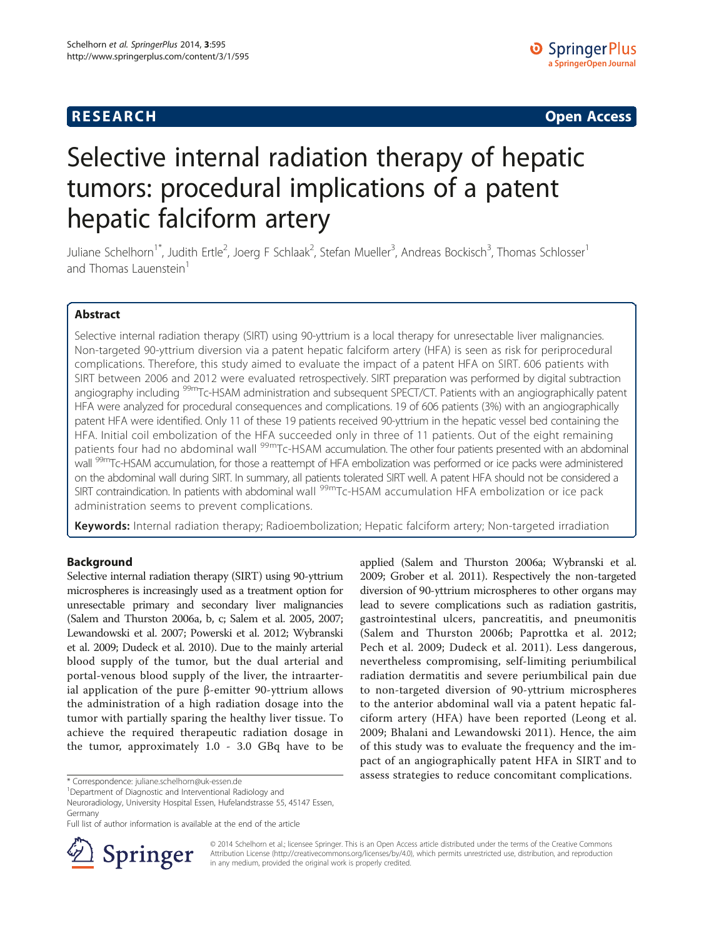## **RESEARCH RESEARCH CONSUMING ACCESS**

# Selective internal radiation therapy of hepatic tumors: procedural implications of a patent hepatic falciform artery

Juliane Schelhorn<sup>1\*</sup>, Judith Ertle<sup>2</sup>, Joerg F Schlaak<sup>2</sup>, Stefan Mueller<sup>3</sup>, Andreas Bockisch<sup>3</sup>, Thomas Schlosser<sup>1</sup> and Thomas Lauenstein<sup>1</sup>

## Abstract

Selective internal radiation therapy (SIRT) using 90-yttrium is a local therapy for unresectable liver malignancies. Non-targeted 90-yttrium diversion via a patent hepatic falciform artery (HFA) is seen as risk for periprocedural complications. Therefore, this study aimed to evaluate the impact of a patent HFA on SIRT. 606 patients with SIRT between 2006 and 2012 were evaluated retrospectively. SIRT preparation was performed by digital subtraction angiography including <sup>99m</sup>Tc-HSAM administration and subsequent SPECT/CT. Patients with an angiographically patent HFA were analyzed for procedural consequences and complications. 19 of 606 patients (3%) with an angiographically patent HFA were identified. Only 11 of these 19 patients received 90-yttrium in the hepatic vessel bed containing the HFA. Initial coil embolization of the HFA succeeded only in three of 11 patients. Out of the eight remaining patients four had no abdominal wall <sup>99m</sup>Tc-HSAM accumulation. The other four patients presented with an abdominal wall <sup>99m</sup>Tc-HSAM accumulation, for those a reattempt of HFA embolization was performed or ice packs were administered on the abdominal wall during SIRT. In summary, all patients tolerated SIRT well. A patent HFA should not be considered a SIRT contraindication. In patients with abdominal wall <sup>99m</sup>Tc-HSAM accumulation HFA embolization or ice pack administration seems to prevent complications.

Keywords: Internal radiation therapy; Radioembolization; Hepatic falciform artery; Non-targeted irradiation

## Background

Selective internal radiation therapy (SIRT) using 90-yttrium microspheres is increasingly used as a treatment option for unresectable primary and secondary liver malignancies (Salem and Thurston [2006a, b](#page-4-0), [c](#page-4-0); Salem et al. [2005, 2007](#page-4-0); Lewandowski et al. [2007](#page-4-0); Powerski et al. [2012](#page-4-0); Wybranski et al. [2009](#page-4-0); Dudeck et al. [2010](#page-4-0)). Due to the mainly arterial blood supply of the tumor, but the dual arterial and portal-venous blood supply of the liver, the intraarterial application of the pure β-emitter 90-yttrium allows the administration of a high radiation dosage into the tumor with partially sparing the healthy liver tissue. To achieve the required therapeutic radiation dosage in the tumor, approximately 1.0 - 3.0 GBq have to be

Neuroradiology, University Hospital Essen, Hufelandstrasse 55, 45147 Essen, Germany

Full list of author information is available at the end of the article



© 2014 Schelhorn et al.; licensee Springer. This is an Open Access article distributed under the terms of the Creative Commons Attribution License [\(http://creativecommons.org/licenses/by/4.0\)](http://creativecommons.org/licenses/by/4.0), which permits unrestricted use, distribution, and reproduction in any medium, provided the original work is properly credited.

applied (Salem and Thurston [2006a;](#page-4-0) Wybranski et al. [2009;](#page-4-0) Grober et al. [2011](#page-4-0)). Respectively the non-targeted diversion of 90-yttrium microspheres to other organs may lead to severe complications such as radiation gastritis, gastrointestinal ulcers, pancreatitis, and pneumonitis (Salem and Thurston [2006b;](#page-4-0) Paprottka et al. [2012](#page-4-0); Pech et al. [2009](#page-4-0); Dudeck et al. [2011\)](#page-4-0). Less dangerous, nevertheless compromising, self-limiting periumbilical radiation dermatitis and severe periumbilical pain due to non-targeted diversion of 90-yttrium microspheres to the anterior abdominal wall via a patent hepatic falciform artery (HFA) have been reported (Leong et al. [2009;](#page-4-0) Bhalani and Lewandowski [2011\)](#page-4-0). Hence, the aim of this study was to evaluate the frequency and the impact of an angiographically patent HFA in SIRT and to assess strategies to reduce concomitant complications. \* Correspondence: [juliane.schelhorn@uk-essen.de](mailto:juliane.schelhorn@uk-essen.de) <sup>1</sup>

Department of Diagnostic and Interventional Radiology and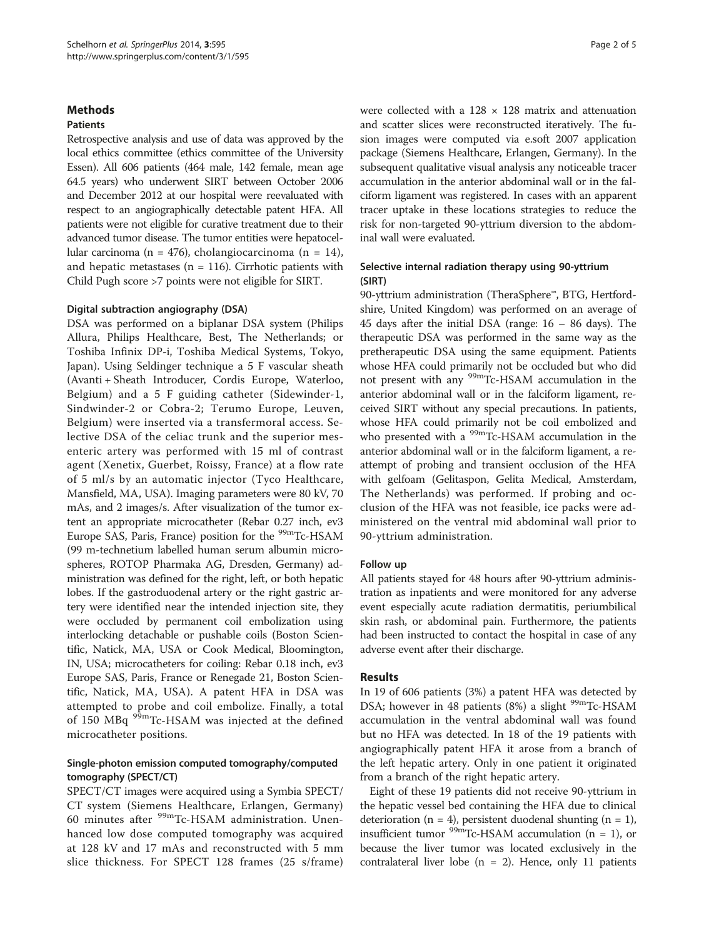#### **Methods**

#### Patients

Retrospective analysis and use of data was approved by the local ethics committee (ethics committee of the University Essen). All 606 patients (464 male, 142 female, mean age 64.5 years) who underwent SIRT between October 2006 and December 2012 at our hospital were reevaluated with respect to an angiographically detectable patent HFA. All patients were not eligible for curative treatment due to their advanced tumor disease. The tumor entities were hepatocellular carcinoma (n = 476), cholangiocarcinoma (n = 14), and hepatic metastases ( $n = 116$ ). Cirrhotic patients with Child Pugh score >7 points were not eligible for SIRT.

#### Digital subtraction angiography (DSA)

DSA was performed on a biplanar DSA system (Philips Allura, Philips Healthcare, Best, The Netherlands; or Toshiba Infinix DP-i, Toshiba Medical Systems, Tokyo, Japan). Using Seldinger technique a 5 F vascular sheath (Avanti + Sheath Introducer, Cordis Europe, Waterloo, Belgium) and a 5 F guiding catheter (Sidewinder-1, Sindwinder-2 or Cobra-2; Terumo Europe, Leuven, Belgium) were inserted via a transfermoral access. Selective DSA of the celiac trunk and the superior mesenteric artery was performed with 15 ml of contrast agent (Xenetix, Guerbet, Roissy, France) at a flow rate of 5 ml/s by an automatic injector (Tyco Healthcare, Mansfield, MA, USA). Imaging parameters were 80 kV, 70 mAs, and 2 images/s. After visualization of the tumor extent an appropriate microcatheter (Rebar 0.27 inch, ev3 Europe SAS, Paris, France) position for the <sup>99m</sup>Tc-HSAM (99 m-technetium labelled human serum albumin microspheres, ROTOP Pharmaka AG, Dresden, Germany) administration was defined for the right, left, or both hepatic lobes. If the gastroduodenal artery or the right gastric artery were identified near the intended injection site, they were occluded by permanent coil embolization using interlocking detachable or pushable coils (Boston Scientific, Natick, MA, USA or Cook Medical, Bloomington, IN, USA; microcatheters for coiling: Rebar 0.18 inch, ev3 Europe SAS, Paris, France or Renegade 21, Boston Scientific, Natick, MA, USA). A patent HFA in DSA was attempted to probe and coil embolize. Finally, a total of 150 MBq <sup>99m</sup>Tc-HSAM was injected at the defined microcatheter positions.

## Single-photon emission computed tomography/computed tomography (SPECT/CT)

SPECT/CT images were acquired using a Symbia SPECT/ CT system (Siemens Healthcare, Erlangen, Germany) 60 minutes after 99mTc-HSAM administration. Unenhanced low dose computed tomography was acquired at 128 kV and 17 mAs and reconstructed with 5 mm slice thickness. For SPECT 128 frames (25 s/frame)

were collected with a  $128 \times 128$  matrix and attenuation and scatter slices were reconstructed iteratively. The fusion images were computed via e.soft 2007 application package (Siemens Healthcare, Erlangen, Germany). In the subsequent qualitative visual analysis any noticeable tracer accumulation in the anterior abdominal wall or in the falciform ligament was registered. In cases with an apparent tracer uptake in these locations strategies to reduce the risk for non-targeted 90-yttrium diversion to the abdominal wall were evaluated.

## Selective internal radiation therapy using 90-yttrium (SIRT)

90-yttrium administration (TheraSphere™, BTG, Hertfordshire, United Kingdom) was performed on an average of 45 days after the initial DSA (range: 16 – 86 days). The therapeutic DSA was performed in the same way as the pretherapeutic DSA using the same equipment. Patients whose HFA could primarily not be occluded but who did not present with any <sup>99m</sup>Tc-HSAM accumulation in the anterior abdominal wall or in the falciform ligament, received SIRT without any special precautions. In patients, whose HFA could primarily not be coil embolized and who presented with a <sup>99m</sup>Tc-HSAM accumulation in the anterior abdominal wall or in the falciform ligament, a reattempt of probing and transient occlusion of the HFA with gelfoam (Gelitaspon, Gelita Medical, Amsterdam, The Netherlands) was performed. If probing and occlusion of the HFA was not feasible, ice packs were administered on the ventral mid abdominal wall prior to 90-yttrium administration.

## Follow up

All patients stayed for 48 hours after 90-yttrium administration as inpatients and were monitored for any adverse event especially acute radiation dermatitis, periumbilical skin rash, or abdominal pain. Furthermore, the patients had been instructed to contact the hospital in case of any adverse event after their discharge.

## Results

In 19 of 606 patients (3%) a patent HFA was detected by DSA; however in 48 patients (8%) a slight <sup>99m</sup>Tc-HSAM accumulation in the ventral abdominal wall was found but no HFA was detected. In 18 of the 19 patients with angiographically patent HFA it arose from a branch of the left hepatic artery. Only in one patient it originated from a branch of the right hepatic artery.

Eight of these 19 patients did not receive 90-yttrium in the hepatic vessel bed containing the HFA due to clinical deterioration ( $n = 4$ ), persistent duodenal shunting ( $n = 1$ ), insufficient tumor  $^{99m}$ Tc-HSAM accumulation (n = 1), or because the liver tumor was located exclusively in the contralateral liver lobe ( $n = 2$ ). Hence, only 11 patients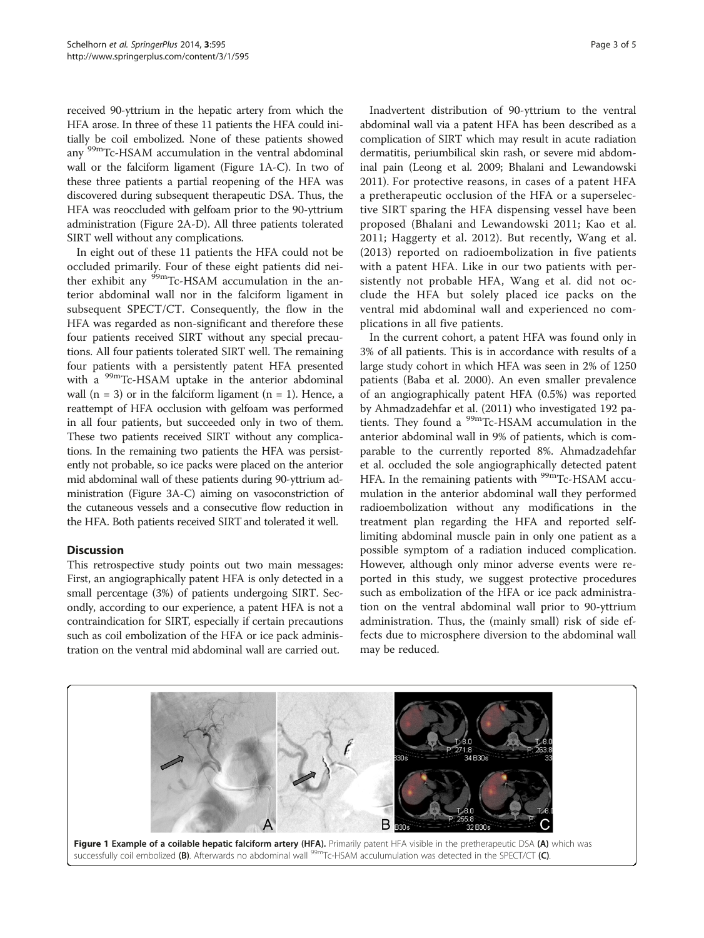received 90-yttrium in the hepatic artery from which the HFA arose. In three of these 11 patients the HFA could initially be coil embolized. None of these patients showed any 99mTc-HSAM accumulation in the ventral abdominal wall or the falciform ligament (Figure 1A-C). In two of these three patients a partial reopening of the HFA was discovered during subsequent therapeutic DSA. Thus, the HFA was reoccluded with gelfoam prior to the 90-yttrium administration (Figure [2](#page-3-0)A-D). All three patients tolerated SIRT well without any complications.

In eight out of these 11 patients the HFA could not be occluded primarily. Four of these eight patients did neither exhibit any <sup>99m</sup>Tc-HSAM accumulation in the anterior abdominal wall nor in the falciform ligament in subsequent SPECT/CT. Consequently, the flow in the HFA was regarded as non-significant and therefore these four patients received SIRT without any special precautions. All four patients tolerated SIRT well. The remaining four patients with a persistently patent HFA presented with a <sup>99m</sup>Tc-HSAM uptake in the anterior abdominal wall ( $n = 3$ ) or in the falciform ligament ( $n = 1$ ). Hence, a reattempt of HFA occlusion with gelfoam was performed in all four patients, but succeeded only in two of them. These two patients received SIRT without any complications. In the remaining two patients the HFA was persistently not probable, so ice packs were placed on the anterior mid abdominal wall of these patients during 90-yttrium administration (Figure [3](#page-3-0)A-C) aiming on vasoconstriction of the cutaneous vessels and a consecutive flow reduction in the HFA. Both patients received SIRT and tolerated it well.

## **Discussion**

This retrospective study points out two main messages: First, an angiographically patent HFA is only detected in a small percentage (3%) of patients undergoing SIRT. Secondly, according to our experience, a patent HFA is not a contraindication for SIRT, especially if certain precautions such as coil embolization of the HFA or ice pack administration on the ventral mid abdominal wall are carried out.

Inadvertent distribution of 90-yttrium to the ventral abdominal wall via a patent HFA has been described as a complication of SIRT which may result in acute radiation dermatitis, periumbilical skin rash, or severe mid abdominal pain (Leong et al. [2009;](#page-4-0) Bhalani and Lewandowski [2011\)](#page-4-0). For protective reasons, in cases of a patent HFA a pretherapeutic occlusion of the HFA or a superselective SIRT sparing the HFA dispensing vessel have been proposed (Bhalani and Lewandowski [2011;](#page-4-0) Kao et al. [2011;](#page-4-0) Haggerty et al. [2012](#page-4-0)). But recently, Wang et al. ([2013](#page-4-0)) reported on radioembolization in five patients with a patent HFA. Like in our two patients with persistently not probable HFA, Wang et al. did not occlude the HFA but solely placed ice packs on the ventral mid abdominal wall and experienced no complications in all five patients.

In the current cohort, a patent HFA was found only in 3% of all patients. This is in accordance with results of a large study cohort in which HFA was seen in 2% of 1250 patients (Baba et al. [2000\)](#page-4-0). An even smaller prevalence of an angiographically patent HFA (0.5%) was reported by Ahmadzadehfar et al. ([2011](#page-4-0)) who investigated 192 patients. They found a <sup>99m</sup>Tc-HSAM accumulation in the anterior abdominal wall in 9% of patients, which is comparable to the currently reported 8%. Ahmadzadehfar et al. occluded the sole angiographically detected patent HFA. In the remaining patients with <sup>99m</sup>Tc-HSAM accumulation in the anterior abdominal wall they performed radioembolization without any modifications in the treatment plan regarding the HFA and reported selflimiting abdominal muscle pain in only one patient as a possible symptom of a radiation induced complication. However, although only minor adverse events were reported in this study, we suggest protective procedures such as embolization of the HFA or ice pack administration on the ventral abdominal wall prior to 90-yttrium administration. Thus, the (mainly small) risk of side effects due to microsphere diversion to the abdominal wall may be reduced.

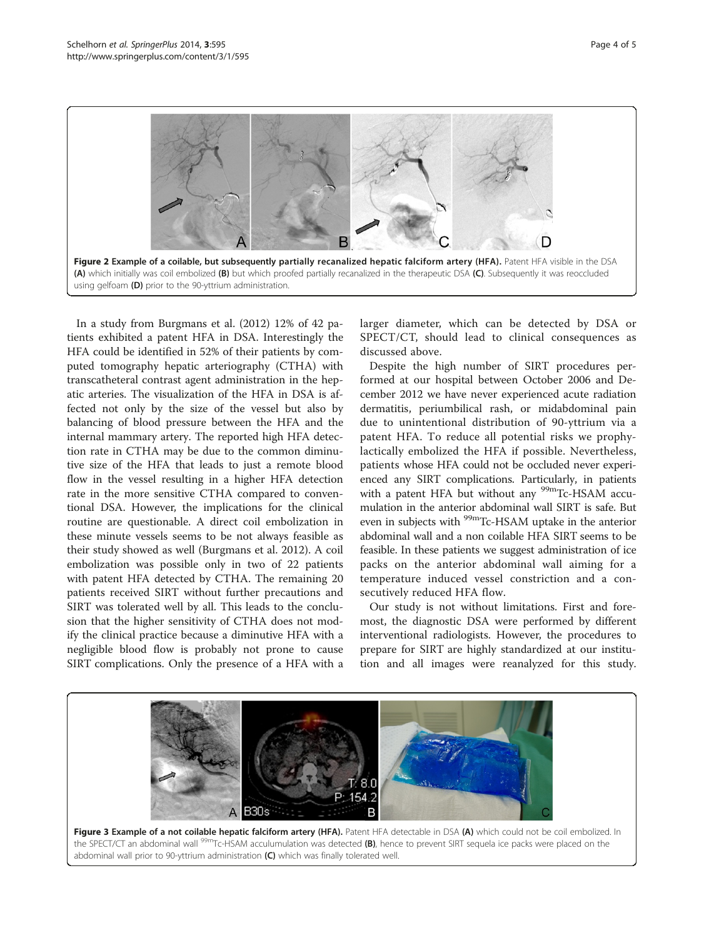<span id="page-3-0"></span>

In a study from Burgmans et al. ([2012](#page-4-0)) 12% of 42 patients exhibited a patent HFA in DSA. Interestingly the HFA could be identified in 52% of their patients by computed tomography hepatic arteriography (CTHA) with transcatheteral contrast agent administration in the hepatic arteries. The visualization of the HFA in DSA is affected not only by the size of the vessel but also by balancing of blood pressure between the HFA and the internal mammary artery. The reported high HFA detection rate in CTHA may be due to the common diminutive size of the HFA that leads to just a remote blood flow in the vessel resulting in a higher HFA detection rate in the more sensitive CTHA compared to conventional DSA. However, the implications for the clinical routine are questionable. A direct coil embolization in these minute vessels seems to be not always feasible as their study showed as well (Burgmans et al. [2012\)](#page-4-0). A coil embolization was possible only in two of 22 patients with patent HFA detected by CTHA. The remaining 20 patients received SIRT without further precautions and SIRT was tolerated well by all. This leads to the conclusion that the higher sensitivity of CTHA does not modify the clinical practice because a diminutive HFA with a negligible blood flow is probably not prone to cause SIRT complications. Only the presence of a HFA with a larger diameter, which can be detected by DSA or SPECT/CT, should lead to clinical consequences as discussed above.

Despite the high number of SIRT procedures performed at our hospital between October 2006 and December 2012 we have never experienced acute radiation dermatitis, periumbilical rash, or midabdominal pain due to unintentional distribution of 90-yttrium via a patent HFA. To reduce all potential risks we prophylactically embolized the HFA if possible. Nevertheless, patients whose HFA could not be occluded never experienced any SIRT complications. Particularly, in patients with a patent HFA but without any <sup>99m</sup>Tc-HSAM accumulation in the anterior abdominal wall SIRT is safe. But even in subjects with <sup>99m</sup>Tc-HSAM uptake in the anterior abdominal wall and a non coilable HFA SIRT seems to be feasible. In these patients we suggest administration of ice packs on the anterior abdominal wall aiming for a temperature induced vessel constriction and a consecutively reduced HFA flow.

Our study is not without limitations. First and foremost, the diagnostic DSA were performed by different interventional radiologists. However, the procedures to prepare for SIRT are highly standardized at our institution and all images were reanalyzed for this study.